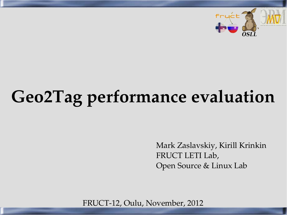

# **Geo2Tag performance evaluation**

Mark Zaslavskiy, Kirill Krinkin FRUCT LETI Lab, Open Source & Linux Lab

FRUCT-12, Oulu, November, 2012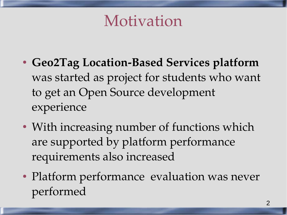Motivation

- Geo2Tag Location-Based Services platform was started as project for students who want to get an Open Source development experience
- With increasing number of functions which are supported by platform performance requirements also increased
- Platform performance evaluation was never performed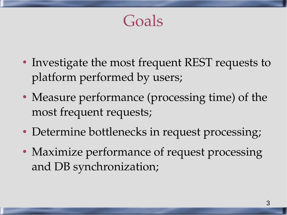Goals

- Investigate the most frequent REST requests to platform performed by users;
- Measure performance (processing time) of the most frequent requests;
- Determine bottlenecks in request processing;
- Maximize performance of request processing and DB synchronization;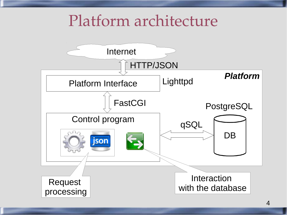#### Platform architecture

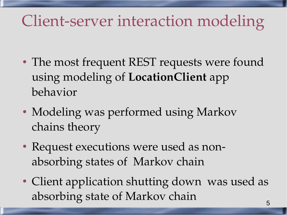#### Client-server interaction modeling

- The most frequent REST requests were found using modeling of **LocationClient** app behavior
- Modeling was performed using Markov chains theory
- Request executions were used as nonabsorbing states of Markov chain
- Client application shutting down was used as absorbing state of Markov chain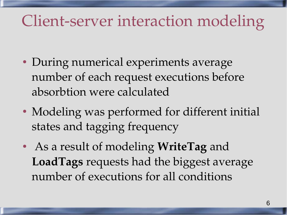#### Client-server interaction modeling

- During numerical experiments average number of each request executions before absorbtion were calculated
- Modeling was performed for different initial states and tagging frequency
- As a result of modeling **WriteTag** and **LoadTags** requests had the biggest average number of executions for all conditions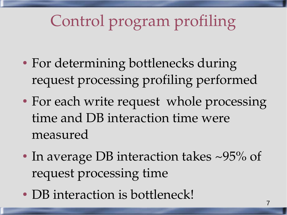## Control program profiling

- For determining bottlenecks during request processing profiling performed
- For each write request whole processing time and DB interaction time were measured
- In average DB interaction takes  $\sim$ 95% of request processing time
- DB interaction is bottleneck!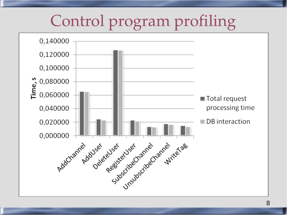#### Control program profiling

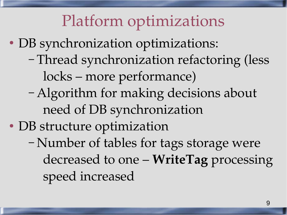#### Platform optimizations

- DB synchronization optimizations:
	- Thread synchronization refactoring (less locks – more performance)
	- Algorithm for making decisions about need of DB synchronization
- DB structure optimization
	- Number of tables for tags storage were decreased to one – **WriteTag** processing speed increased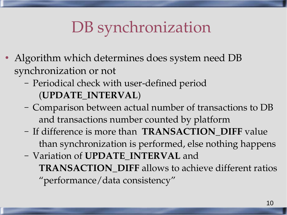## DB synchronization

- Algorithm which determines does system need DB synchronization or not
	- Periodical check with user-defined period (**UPDATE\_INTERVAL**)
	- Comparison between actual number of transactions to DB and transactions number counted by platform
	- If difference is more than **TRANSACTION\_DIFF** value than synchronization is performed, else nothing happens
	- Variation of **UPDATE\_INTERVAL** and **TRANSACTION\_DIFF** allows to achieve different ratios "performance/data consistency"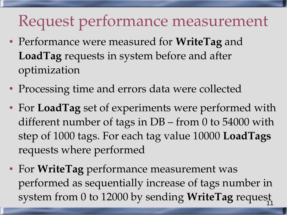#### Request performance measurement

- Performance were measured for **WriteTag** and **LoadTag** requests in system before and after optimization
- Processing time and errors data were collected
- For **LoadTag** set of experiments were performed with different number of tags in DB – from 0 to 54000 with step of 1000 tags. For each tag value 10000 **LoadTags** requests where performed
- 11 ● For **WriteTag** performance measurement was performed as sequentially increase of tags number in system from 0 to 12000 by sending **WriteTag** request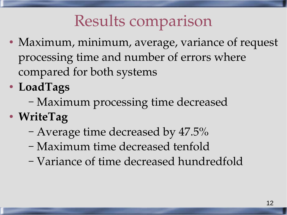#### Results comparison

- Maximum, minimum, average, variance of request processing time and number of errors where compared for both systems
- **LoadTags**
	- Maximum processing time decreased
- **WriteTag**
	- Average time decreased by 47.5%
	- Maximum time decreased tenfold
	- Variance of time decreased hundredfold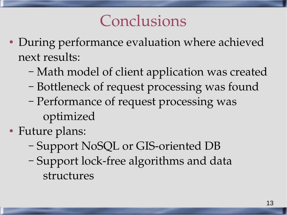#### Conclusions

- During performance evaluation where achieved next results:
	- Math model of client application was created
	- Bottleneck of request processing was found
	- Performance of request processing was optimized
- Future plans:
	- Support NoSQL or GIS-oriented DB
	- Support lock-free algorithms and data structures